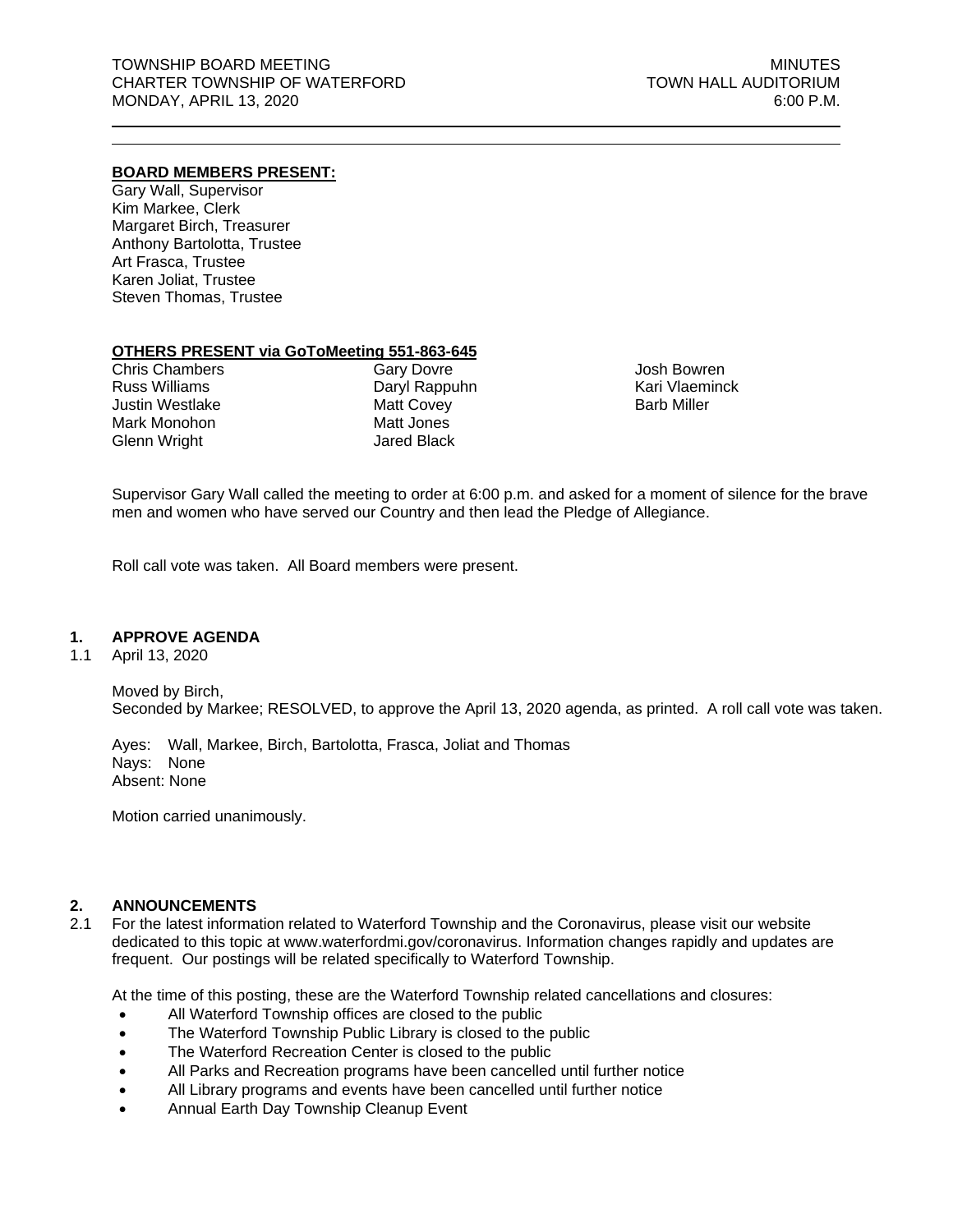## **BOARD MEMBERS PRESENT:**

Gary Wall, Supervisor Kim Markee, Clerk Margaret Birch, Treasurer Anthony Bartolotta, Trustee Art Frasca, Trustee Karen Joliat, Trustee Steven Thomas, Trustee

## **OTHERS PRESENT via GoToMeeting 551-863-645**

Chris Chambers Russ Williams Justin Westlake Mark Monohon Glenn Wright

Gary Dovre Daryl Rappuhn Matt Covey Matt Jones Jared Black

Josh Bowren Kari Vlaeminck Barb Miller

Supervisor Gary Wall called the meeting to order at 6:00 p.m. and asked for a moment of silence for the brave men and women who have served our Country and then lead the Pledge of Allegiance.

Roll call vote was taken. All Board members were present.

## **1. APPROVE AGENDA**

1.1 April 13, 2020

Moved by Birch, Seconded by Markee; RESOLVED, to approve the April 13, 2020 agenda, as printed. A roll call vote was taken.

Ayes: Wall, Markee, Birch, Bartolotta, Frasca, Joliat and Thomas Nays: None Absent: None

Motion carried unanimously.

## **2. ANNOUNCEMENTS**

2.1 For the latest information related to Waterford Township and the Coronavirus, please visit our website dedicated to this topic at www.waterfordmi.gov/coronavirus. Information changes rapidly and updates are frequent. Our postings will be related specifically to Waterford Township.

At the time of this posting, these are the Waterford Township related cancellations and closures:

- All Waterford Township offices are closed to the public
- The Waterford Township Public Library is closed to the public
- The Waterford Recreation Center is closed to the public
- All Parks and Recreation programs have been cancelled until further notice
- All Library programs and events have been cancelled until further notice
- Annual Earth Day Township Cleanup Event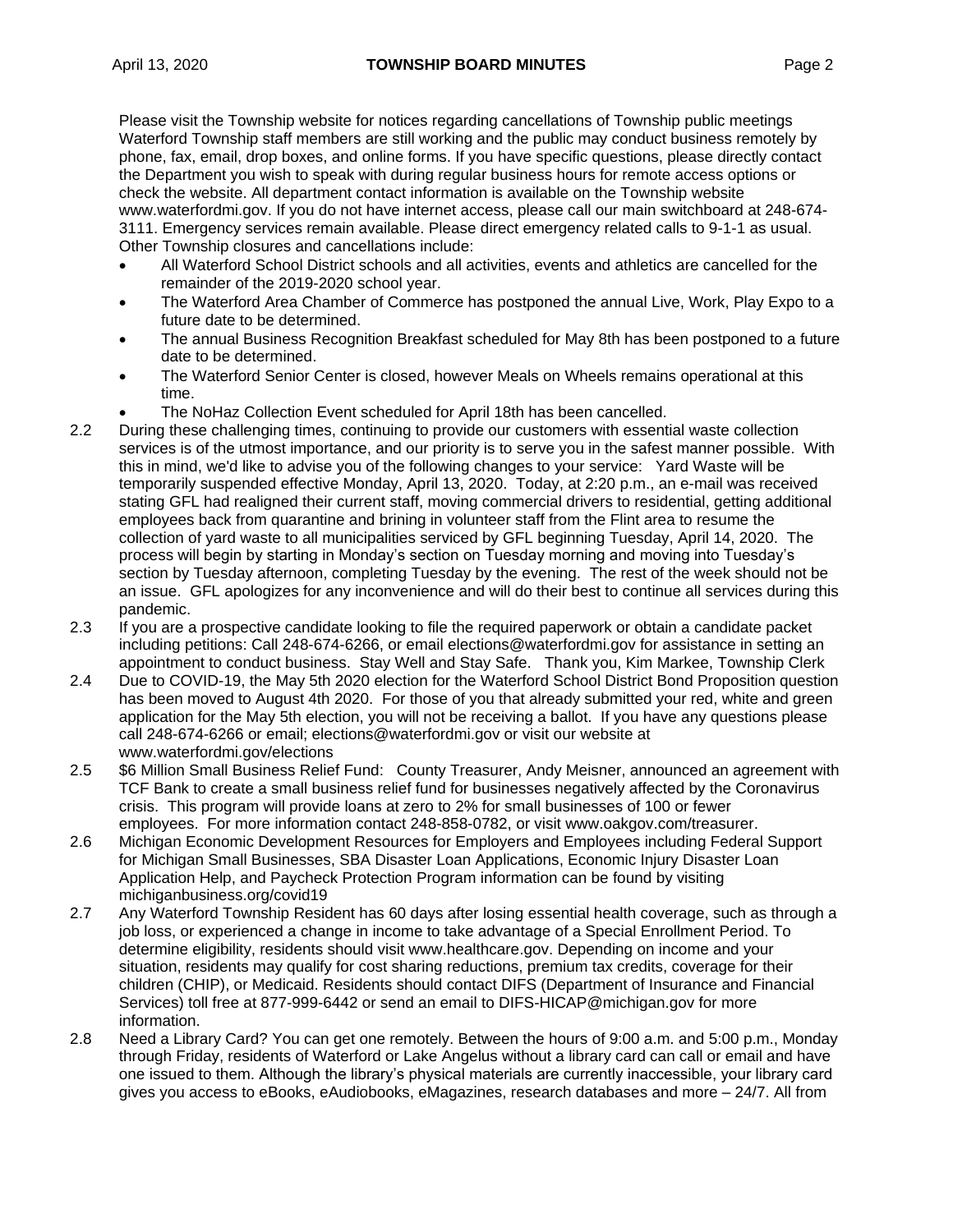Please visit the Township website for notices regarding cancellations of Township public meetings Waterford Township staff members are still working and the public may conduct business remotely by phone, fax, email, drop boxes, and online forms. If you have specific questions, please directly contact the Department you wish to speak with during regular business hours for remote access options or check the website. All department contact information is available on the Township website www.waterfordmi.gov. If you do not have internet access, please call our main switchboard at 248-674- 3111. Emergency services remain available. Please direct emergency related calls to 9-1-1 as usual. Other Township closures and cancellations include:

- All Waterford School District schools and all activities, events and athletics are cancelled for the remainder of the 2019-2020 school year.
- The Waterford Area Chamber of Commerce has postponed the annual Live, Work, Play Expo to a future date to be determined.
- The annual Business Recognition Breakfast scheduled for May 8th has been postponed to a future date to be determined.
- The Waterford Senior Center is closed, however Meals on Wheels remains operational at this time.
	- The NoHaz Collection Event scheduled for April 18th has been cancelled.
- 2.2 During these challenging times, continuing to provide our customers with essential waste collection services is of the utmost importance, and our priority is to serve you in the safest manner possible. With this in mind, we'd like to advise you of the following changes to your service: Yard Waste will be temporarily suspended effective Monday, April 13, 2020. Today, at 2:20 p.m., an e-mail was received stating GFL had realigned their current staff, moving commercial drivers to residential, getting additional employees back from quarantine and brining in volunteer staff from the Flint area to resume the collection of yard waste to all municipalities serviced by GFL beginning Tuesday, April 14, 2020. The process will begin by starting in Monday's section on Tuesday morning and moving into Tuesday's section by Tuesday afternoon, completing Tuesday by the evening. The rest of the week should not be an issue. GFL apologizes for any inconvenience and will do their best to continue all services during this pandemic.
- 2.3 If you are a prospective candidate looking to file the required paperwork or obtain a candidate packet including petitions: Call 248-674-6266, or email elections@waterfordmi.gov for assistance in setting an appointment to conduct business. Stay Well and Stay Safe. Thank you, Kim Markee, Township Clerk
- 2.4 Due to COVID-19, the May 5th 2020 election for the Waterford School District Bond Proposition question has been moved to August 4th 2020. For those of you that already submitted your red, white and green application for the May 5th election, you will not be receiving a ballot. If you have any questions please call 248-674-6266 or email; elections@waterfordmi.gov or visit our website at [www.waterfordmi.gov/](http://www.waterfordmi.gov/)elections
- 2.5 \$6 Million Small Business Relief Fund:County Treasurer, Andy Meisner, announced an agreement with TCF Bank to create a small business relief fund for businesses negatively affected by the Coronavirus crisis. This program will provide loans at zero to 2% for small businesses of 100 or fewer employees. For more information contact 248-858-0782, or visit [www.oakgov.com/treasurer.](http://www.oakgov.com/treasurer)
- 2.6 Michigan Economic Development Resources for Employers and Employees including Federal Support for Michigan Small Businesses, SBA Disaster Loan Applications, Economic Injury Disaster Loan Application Help, and Paycheck Protection Program information can be found by visiting michiganbusiness.org/covid19
- 2.7 Any Waterford Township Resident has 60 days after losing essential health coverage, such as through a job loss, or experienced a change in income to take advantage of a Special Enrollment Period. To determine eligibility, residents should visit www.healthcare.gov. Depending on income and your situation, residents may qualify for cost sharing reductions, premium tax credits, coverage for their children (CHIP), or Medicaid. Residents should contact DIFS (Department of Insurance and Financial Services) toll free at 877-999-6442 or send an email to DIFS-HICAP@michigan.gov for more information.
- 2.8 Need a Library Card? You can get one remotely. Between the hours of 9:00 a.m. and 5:00 p.m., Monday through Friday, residents of Waterford or Lake Angelus without a library card can call or email and have one issued to them. Although the library's physical materials are currently inaccessible, your library card gives you access to eBooks, eAudiobooks, eMagazines, research databases and more – 24/7. All from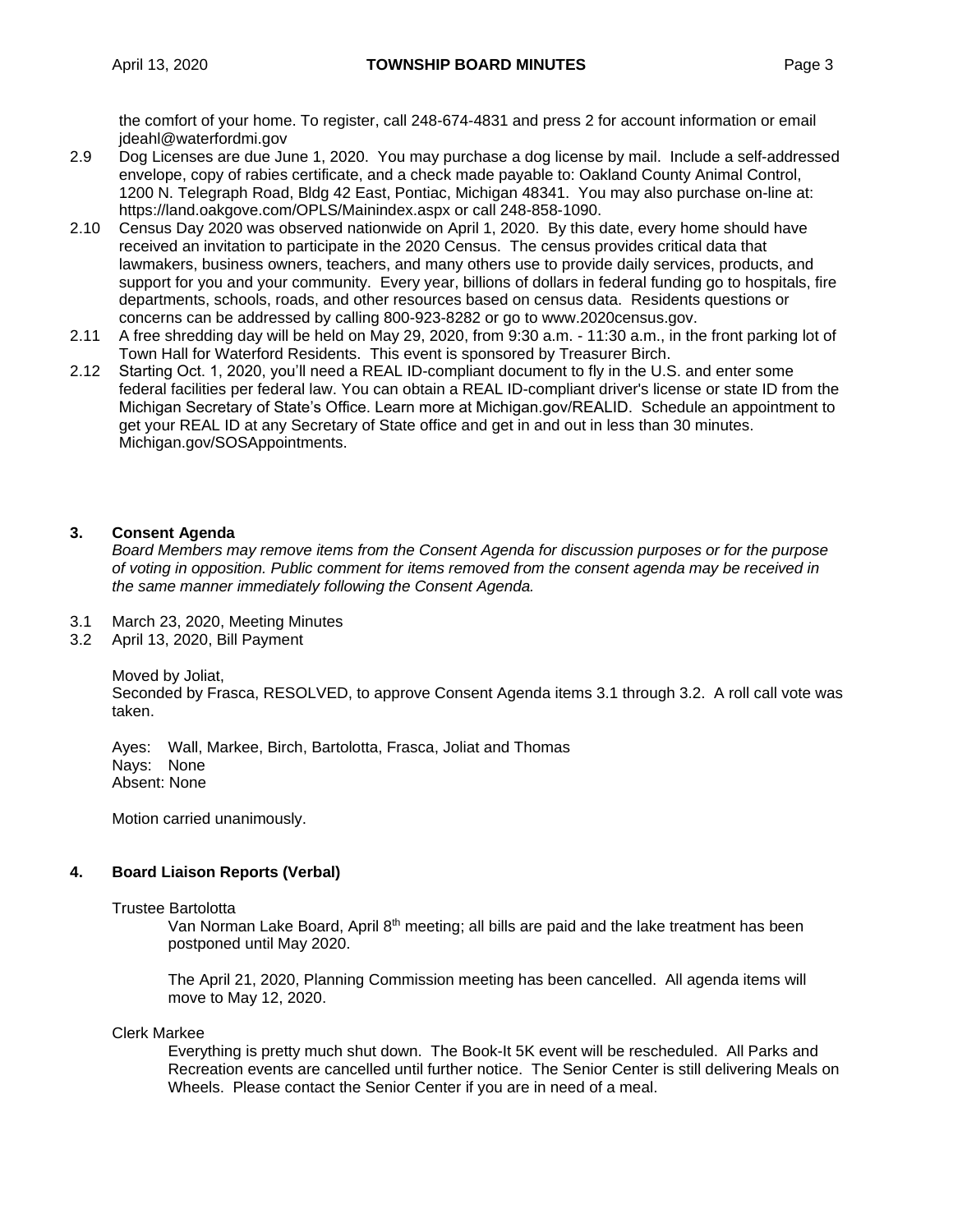the comfort of your home. To register, call 248-674-4831 and press 2 for account information or email [jdeahl@waterfordmi.gov](mailto:jdeahl@waterfordmi.gov)

- 2.9 Dog Licenses are due June 1, 2020. You may purchase a dog license by mail. Include a self-addressed envelope, copy of rabies certificate, and a check made payable to: Oakland County Animal Control, 1200 N. Telegraph Road, Bldg 42 East, Pontiac, Michigan 48341. You may also purchase on-line at: https://land.oakgove.com/OPLS/Mainindex.aspx or call 248-858-1090.
- 2.10 Census Day 2020 was observed nationwide on April 1, 2020. By this date, every home should have received an invitation to participate in the 2020 Census. The census provides critical data that lawmakers, business owners, teachers, and many others use to provide daily services, products, and support for you and your community. Every year, billions of dollars in federal funding go to hospitals, fire departments, schools, roads, and other resources based on census data. Residents questions or concerns can be addressed by calling 800-923-8282 or go to www.2020census.gov.
- 2.11 A free shredding day will be held on May 29, 2020, from 9:30 a.m. 11:30 a.m., in the front parking lot of Town Hall for Waterford Residents. This event is sponsored by Treasurer Birch.
- 2.12 Starting Oct. 1, 2020, you'll need a REAL ID-compliant document to fly in the U.S. and enter some federal facilities per federal law. You can obtain a REAL ID-compliant driver's license or state ID from the Michigan Secretary of State's Office. Learn more at Michigan.gov/REALID. Schedule an appointment to get your REAL ID at any Secretary of State office and get in and out in less than 30 minutes. Michigan.gov/SOSAppointments.

# **3. Consent Agenda**

*Board Members may remove items from the Consent Agenda for discussion purposes or for the purpose of voting in opposition. Public comment for items removed from the consent agenda may be received in the same manner immediately following the Consent Agenda.*

- 3.1 March 23, 2020, Meeting Minutes
- 3.2 April 13, 2020, Bill Payment

Moved by Joliat,

Seconded by Frasca, RESOLVED, to approve Consent Agenda items 3.1 through 3.2. A roll call vote was taken.

Ayes: Wall, Markee, Birch, Bartolotta, Frasca, Joliat and Thomas Nays: None Absent: None

Motion carried unanimously.

## **4. Board Liaison Reports (Verbal)**

### Trustee Bartolotta

Van Norman Lake Board, April 8<sup>th</sup> meeting; all bills are paid and the lake treatment has been postponed until May 2020.

The April 21, 2020, Planning Commission meeting has been cancelled. All agenda items will move to May 12, 2020.

## Clerk Markee

Everything is pretty much shut down. The Book-It 5K event will be rescheduled. All Parks and Recreation events are cancelled until further notice. The Senior Center is still delivering Meals on Wheels. Please contact the Senior Center if you are in need of a meal.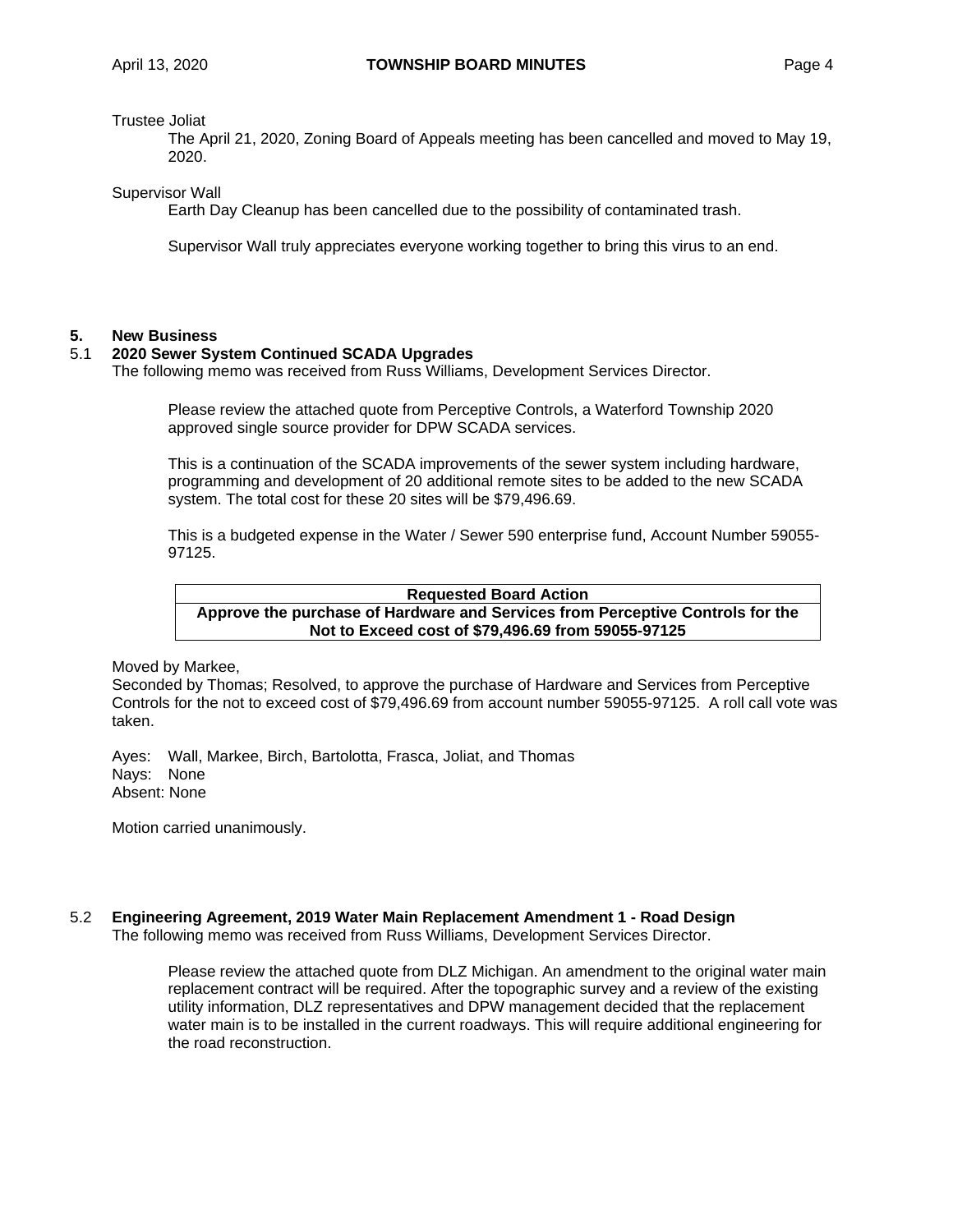Trustee Joliat

The April 21, 2020, Zoning Board of Appeals meeting has been cancelled and moved to May 19, 2020.

Supervisor Wall

Earth Day Cleanup has been cancelled due to the possibility of contaminated trash.

Supervisor Wall truly appreciates everyone working together to bring this virus to an end.

### **5. New Business**

### 5.1 **2020 Sewer System Continued SCADA Upgrades**

The following memo was received from Russ Williams, Development Services Director.

Please review the attached quote from Perceptive Controls, a Waterford Township 2020 approved single source provider for DPW SCADA services.

This is a continuation of the SCADA improvements of the sewer system including hardware, programming and development of 20 additional remote sites to be added to the new SCADA system. The total cost for these 20 sites will be \$79,496.69.

This is a budgeted expense in the Water / Sewer 590 enterprise fund, Account Number 59055- 97125.

### **Requested Board Action Approve the purchase of Hardware and Services from Perceptive Controls for the Not to Exceed cost of \$79,496.69 from 59055-97125**

Moved by Markee,

Seconded by Thomas; Resolved, to approve the purchase of Hardware and Services from Perceptive Controls for the not to exceed cost of \$79,496.69 from account number 59055-97125. A roll call vote was taken.

Ayes: Wall, Markee, Birch, Bartolotta, Frasca, Joliat, and Thomas Nays: None Absent: None

Motion carried unanimously.

# 5.2 **Engineering Agreement, 2019 Water Main Replacement Amendment 1 - Road Design**

The following memo was received from Russ Williams, Development Services Director.

Please review the attached quote from DLZ Michigan. An amendment to the original water main replacement contract will be required. After the topographic survey and a review of the existing utility information, DLZ representatives and DPW management decided that the replacement water main is to be installed in the current roadways. This will require additional engineering for the road reconstruction.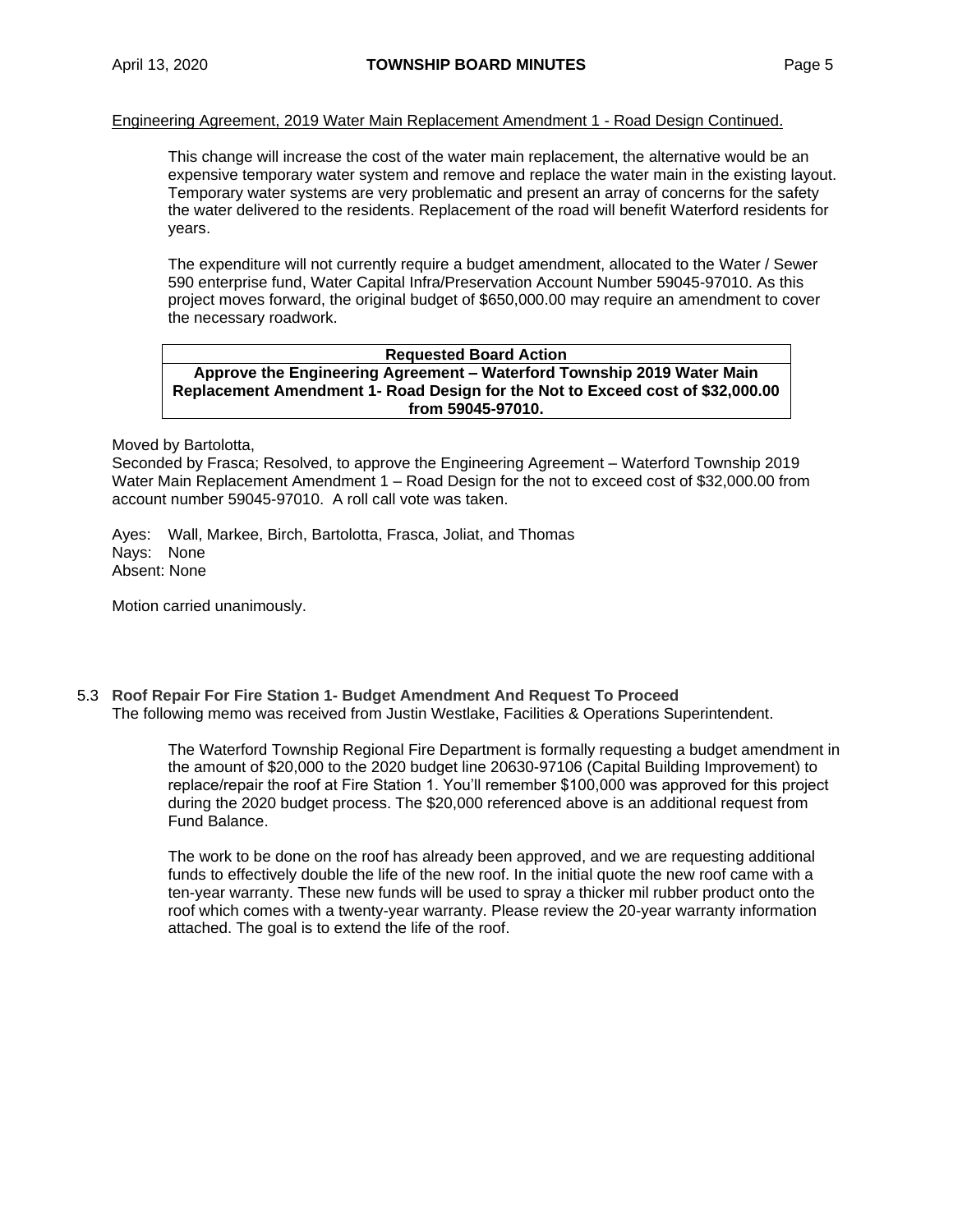#### Engineering Agreement, 2019 Water Main Replacement Amendment 1 - Road Design Continued.

This change will increase the cost of the water main replacement, the alternative would be an expensive temporary water system and remove and replace the water main in the existing layout. Temporary water systems are very problematic and present an array of concerns for the safety the water delivered to the residents. Replacement of the road will benefit Waterford residents for years.

The expenditure will not currently require a budget amendment, allocated to the Water / Sewer 590 enterprise fund, Water Capital Infra/Preservation Account Number 59045-97010. As this project moves forward, the original budget of \$650,000.00 may require an amendment to cover the necessary roadwork.

#### **Requested Board Action Approve the Engineering Agreement – Waterford Township 2019 Water Main Replacement Amendment 1- Road Design for the Not to Exceed cost of \$32,000.00 from 59045-97010.**

Moved by Bartolotta,

Seconded by Frasca; Resolved, to approve the Engineering Agreement – Waterford Township 2019 Water Main Replacement Amendment 1 – Road Design for the not to exceed cost of \$32,000.00 from account number 59045-97010. A roll call vote was taken.

Ayes: Wall, Markee, Birch, Bartolotta, Frasca, Joliat, and Thomas Nays: None Absent: None

Motion carried unanimously.

5.3 **Roof Repair For Fire Station 1- Budget Amendment And Request To Proceed** The following memo was received from Justin Westlake, Facilities & Operations Superintendent.

> The Waterford Township Regional Fire Department is formally requesting a budget amendment in the amount of \$20,000 to the 2020 budget line 20630-97106 (Capital Building Improvement) to replace/repair the roof at Fire Station 1. You'll remember \$100,000 was approved for this project during the 2020 budget process. The \$20,000 referenced above is an additional request from Fund Balance.

The work to be done on the roof has already been approved, and we are requesting additional funds to effectively double the life of the new roof. In the initial quote the new roof came with a ten-year warranty. These new funds will be used to spray a thicker mil rubber product onto the roof which comes with a twenty-year warranty. Please review the 20-year warranty information attached. The goal is to extend the life of the roof.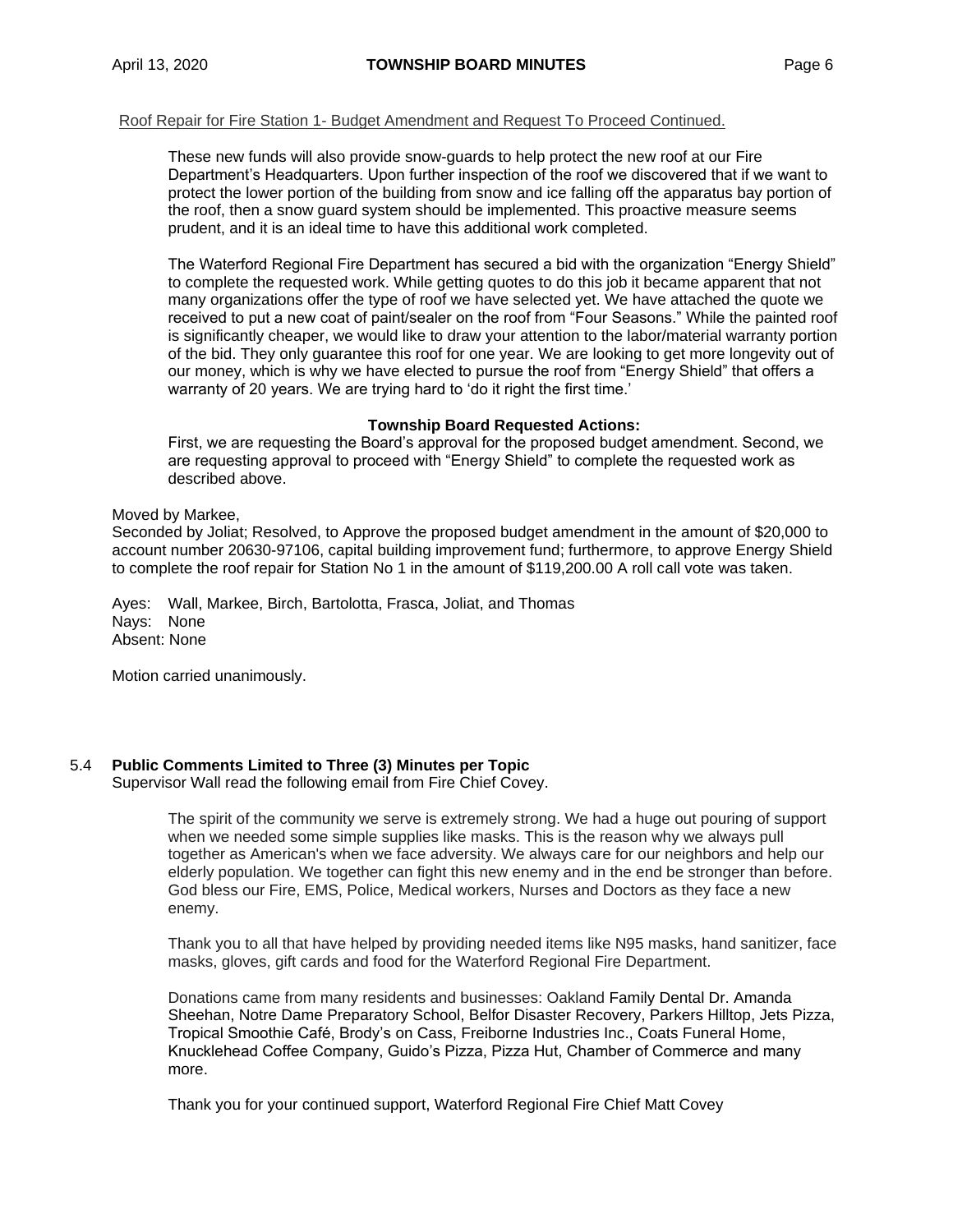#### Roof Repair for Fire Station 1- Budget Amendment and Request To Proceed Continued.

These new funds will also provide snow-guards to help protect the new roof at our Fire Department's Headquarters. Upon further inspection of the roof we discovered that if we want to protect the lower portion of the building from snow and ice falling off the apparatus bay portion of the roof, then a snow guard system should be implemented. This proactive measure seems prudent, and it is an ideal time to have this additional work completed.

The Waterford Regional Fire Department has secured a bid with the organization "Energy Shield" to complete the requested work. While getting quotes to do this job it became apparent that not many organizations offer the type of roof we have selected yet. We have attached the quote we received to put a new coat of paint/sealer on the roof from "Four Seasons." While the painted roof is significantly cheaper, we would like to draw your attention to the labor/material warranty portion of the bid. They only guarantee this roof for one year. We are looking to get more longevity out of our money, which is why we have elected to pursue the roof from "Energy Shield" that offers a warranty of 20 years. We are trying hard to 'do it right the first time.'

### **Township Board Requested Actions:**

First, we are requesting the Board's approval for the proposed budget amendment. Second, we are requesting approval to proceed with "Energy Shield" to complete the requested work as described above.

### Moved by Markee,

Seconded by Joliat; Resolved, to Approve the proposed budget amendment in the amount of \$20,000 to account number 20630-97106, capital building improvement fund; furthermore, to approve Energy Shield to complete the roof repair for Station No 1 in the amount of \$119,200.00 A roll call vote was taken.

Ayes: Wall, Markee, Birch, Bartolotta, Frasca, Joliat, and Thomas Nays: None Absent: None

Motion carried unanimously.

### 5.4 **Public Comments Limited to Three (3) Minutes per Topic**

Supervisor Wall read the following email from Fire Chief Covey.

The spirit of the community we serve is extremely strong. We had a huge out pouring of support when we needed some simple supplies like masks. This is the reason why we always pull together as American's when we face adversity. We always care for our neighbors and help our elderly population. We together can fight this new enemy and in the end be stronger than before. God bless our Fire, EMS, Police, Medical workers, Nurses and Doctors as they face a new enemy.

Thank you to all that have helped by providing needed items like N95 masks, hand sanitizer, face masks, gloves, gift cards and food for the Waterford Regional Fire Department.

Donations came from many residents and businesses: Oakland Family Dental Dr. Amanda Sheehan, Notre Dame Preparatory School, Belfor Disaster Recovery, Parkers Hilltop, Jets Pizza, Tropical Smoothie Café, Brody's on Cass, Freiborne Industries Inc., Coats Funeral Home, Knucklehead Coffee Company, Guido's Pizza, Pizza Hut, Chamber of Commerce and many more.

Thank you for your continued support, Waterford Regional Fire Chief Matt Covey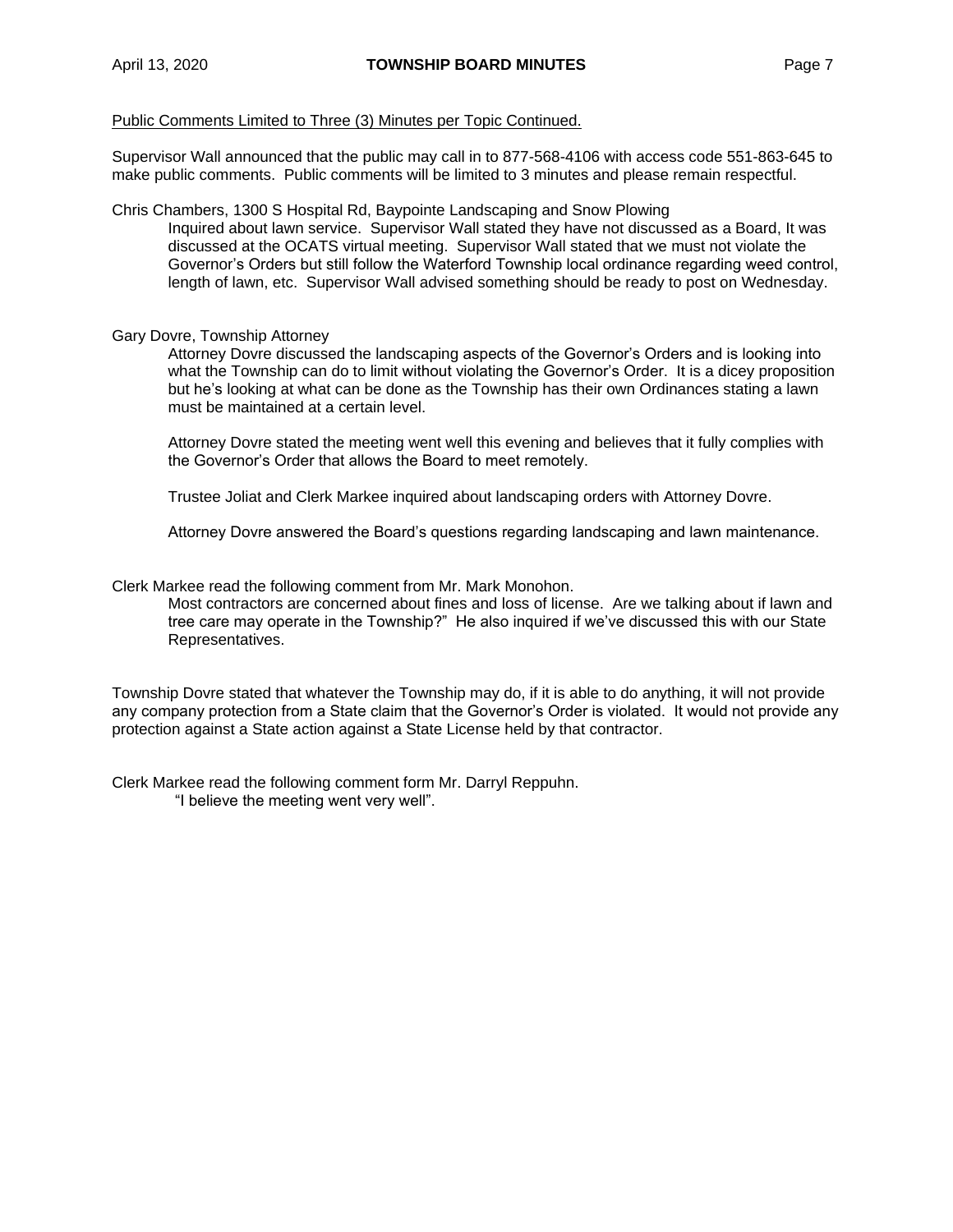Public Comments Limited to Three (3) Minutes per Topic Continued.

Supervisor Wall announced that the public may call in to 877-568-4106 with access code 551-863-645 to make public comments. Public comments will be limited to 3 minutes and please remain respectful.

Chris Chambers, 1300 S Hospital Rd, Baypointe Landscaping and Snow Plowing Inquired about lawn service. Supervisor Wall stated they have not discussed as a Board, It was discussed at the OCATS virtual meeting. Supervisor Wall stated that we must not violate the Governor's Orders but still follow the Waterford Township local ordinance regarding weed control, length of lawn, etc. Supervisor Wall advised something should be ready to post on Wednesday.

### Gary Dovre, Township Attorney

Attorney Dovre discussed the landscaping aspects of the Governor's Orders and is looking into what the Township can do to limit without violating the Governor's Order. It is a dicey proposition but he's looking at what can be done as the Township has their own Ordinances stating a lawn must be maintained at a certain level.

Attorney Dovre stated the meeting went well this evening and believes that it fully complies with the Governor's Order that allows the Board to meet remotely.

Trustee Joliat and Clerk Markee inquired about landscaping orders with Attorney Dovre.

Attorney Dovre answered the Board's questions regarding landscaping and lawn maintenance.

Clerk Markee read the following comment from Mr. Mark Monohon.

Most contractors are concerned about fines and loss of license. Are we talking about if lawn and tree care may operate in the Township?" He also inquired if we've discussed this with our State Representatives.

Township Dovre stated that whatever the Township may do, if it is able to do anything, it will not provide any company protection from a State claim that the Governor's Order is violated. It would not provide any protection against a State action against a State License held by that contractor.

Clerk Markee read the following comment form Mr. Darryl Reppuhn. "I believe the meeting went very well".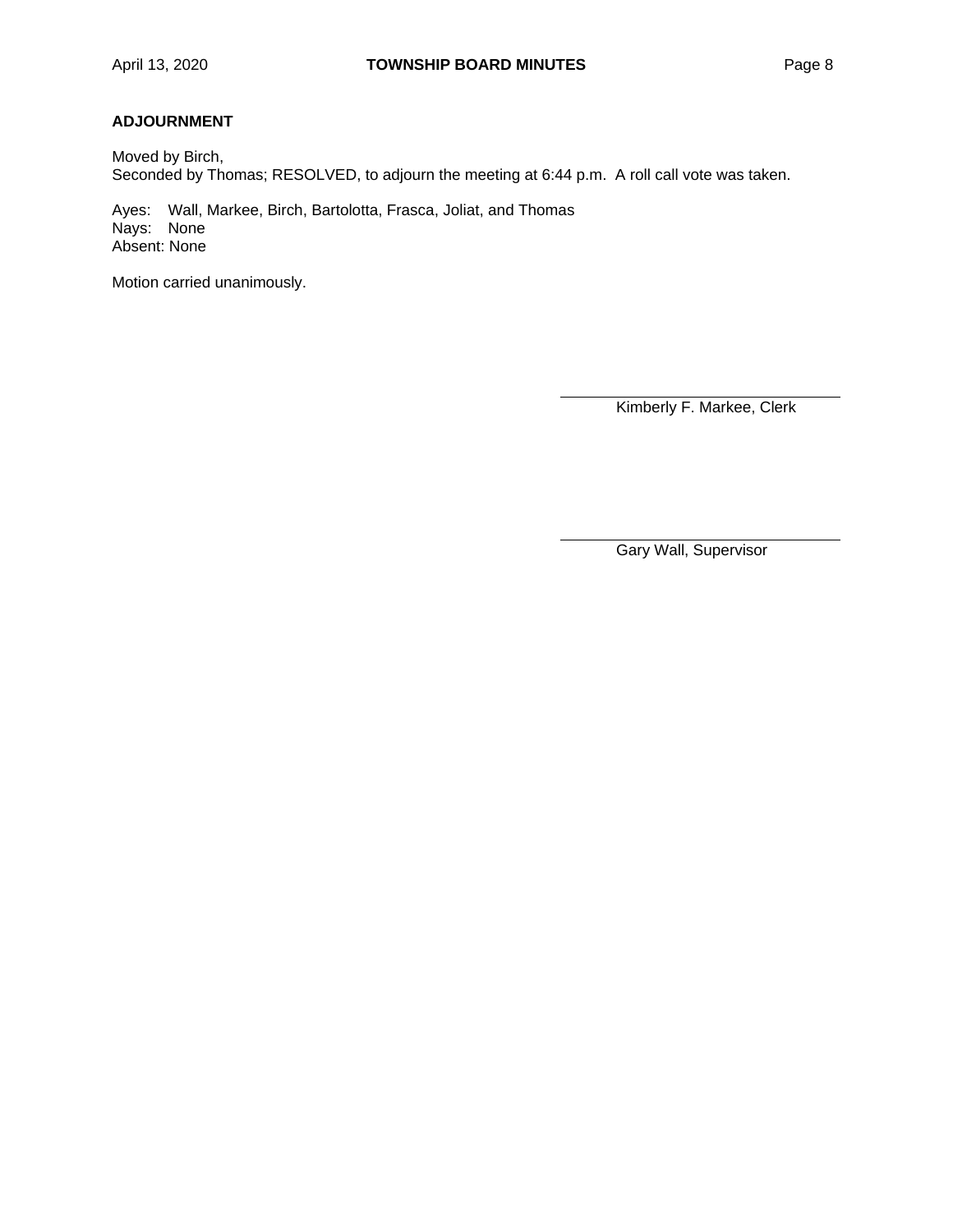# **ADJOURNMENT**

Moved by Birch, Seconded by Thomas; RESOLVED, to adjourn the meeting at 6:44 p.m. A roll call vote was taken.

Ayes: Wall, Markee, Birch, Bartolotta, Frasca, Joliat, and Thomas Nays: None Absent: None

Motion carried unanimously.

Kimberly F. Markee, Clerk

Gary Wall, Supervisor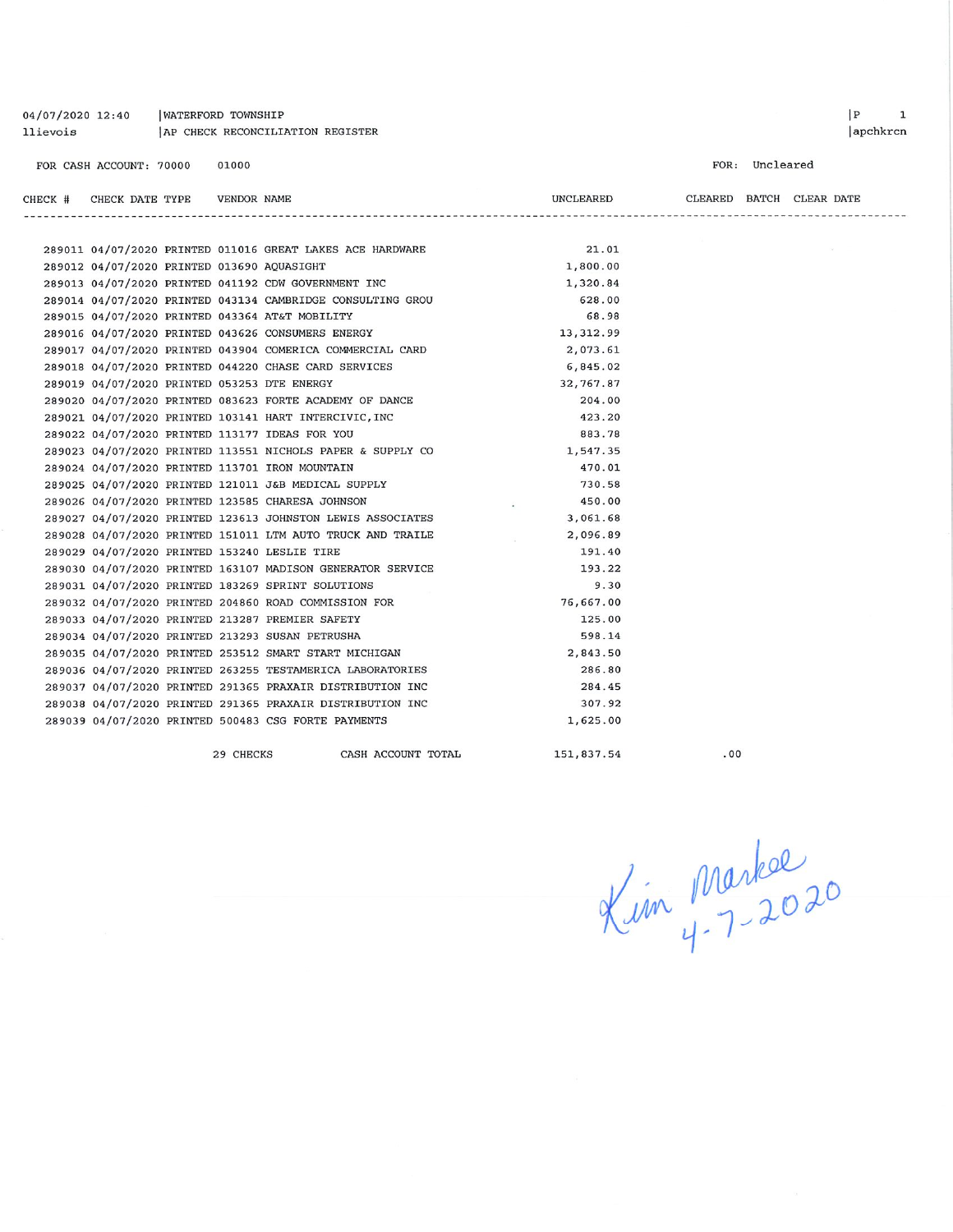|         | FOR CASH ACCOUNT: 70000 | 01000       |                                                            |           | FOR: Uncleared           |  |  |  |
|---------|-------------------------|-------------|------------------------------------------------------------|-----------|--------------------------|--|--|--|
| CHECK # | CHECK DATE TYPE         | VENDOR NAME |                                                            |           | CLEARED BATCH CLEAR DATE |  |  |  |
|         |                         |             |                                                            |           |                          |  |  |  |
|         |                         |             | 289011 04/07/2020 PRINTED 011016 GREAT LAKES ACE HARDWARE  | 21.01     |                          |  |  |  |
|         |                         |             | 289012 04/07/2020 PRINTED 013690 AQUASIGHT                 | 1,800.00  |                          |  |  |  |
|         |                         |             | 289013 04/07/2020 PRINTED 041192 CDW GOVERNMENT INC        | 1,320.84  |                          |  |  |  |
|         |                         |             | 289014 04/07/2020 PRINTED 043134 CAMBRIDGE CONSULTING GROU | 628.00    |                          |  |  |  |
|         |                         |             | 289015 04/07/2020 PRINTED 043364 AT&T MOBILITY             | 68.98     |                          |  |  |  |
|         |                         |             | 289016 04/07/2020 PRINTED 043626 CONSUMERS ENERGY          | 13,312.99 |                          |  |  |  |
|         |                         |             | 289017 04/07/2020 PRINTED 043904 COMERICA COMMERCIAL CARD  | 2,073.61  |                          |  |  |  |
|         |                         |             | 289018 04/07/2020 PRINTED 044220 CHASE CARD SERVICES       | 6,845.02  |                          |  |  |  |
|         |                         |             | 289019 04/07/2020 PRINTED 053253 DTE ENERGY                | 32,767.87 |                          |  |  |  |
|         |                         |             | 289020 04/07/2020 PRINTED 083623 FORTE ACADEMY OF DANCE    | 204.00    |                          |  |  |  |
|         |                         |             | 289021 04/07/2020 PRINTED 103141 HART INTERCIVIC, INC      | 423.20    |                          |  |  |  |
|         |                         |             | 289022 04/07/2020 PRINTED 113177 IDEAS FOR YOU             | 883.78    |                          |  |  |  |
|         |                         |             | 289023 04/07/2020 PRINTED 113551 NICHOLS PAPER & SUPPLY CO | 1,547.35  |                          |  |  |  |
|         |                         |             | 289024 04/07/2020 PRINTED 113701 IRON MOUNTAIN             | 470.01    |                          |  |  |  |
|         |                         |             | 289025 04/07/2020 PRINTED 121011 J&B MEDICAL SUPPLY        | 730.58    |                          |  |  |  |
|         |                         |             | 289026 04/07/2020 PRINTED 123585 CHARESA JOHNSON           | 450.00    |                          |  |  |  |
|         |                         |             | 289027 04/07/2020 PRINTED 123613 JOHNSTON LEWIS ASSOCIATES | 3,061.68  |                          |  |  |  |
|         |                         |             | 289028 04/07/2020 PRINTED 151011 LTM AUTO TRUCK AND TRAILE | 2,096.89  |                          |  |  |  |
|         |                         |             | 289029 04/07/2020 PRINTED 153240 LESLIE TIRE               | 191.40    |                          |  |  |  |
|         |                         |             | 289030 04/07/2020 PRINTED 163107 MADISON GENERATOR SERVICE | 193.22    |                          |  |  |  |
|         |                         |             | 289031 04/07/2020 PRINTED 183269 SPRINT SOLUTIONS          | 9.30      |                          |  |  |  |
|         |                         |             | 289032 04/07/2020 PRINTED 204860 ROAD COMMISSION FOR       | 76,667.00 |                          |  |  |  |
|         |                         |             | 289033 04/07/2020 PRINTED 213287 PREMIER SAFETY            | 125.00    |                          |  |  |  |
|         |                         |             | 289034 04/07/2020 PRINTED 213293 SUSAN PETRUSHA            | 598.14    |                          |  |  |  |
|         |                         |             | 289035 04/07/2020 PRINTED 253512 SMART START MICHIGAN      | 2,843.50  |                          |  |  |  |
|         |                         |             | 289036 04/07/2020 PRINTED 263255 TESTAMERICA LABORATORIES  | 286.80    |                          |  |  |  |
|         |                         |             | 289037 04/07/2020 PRINTED 291365 PRAXAIR DISTRIBUTION INC  | 284.45    |                          |  |  |  |
|         |                         |             | 289038 04/07/2020 PRINTED 291365 PRAXAIR DISTRIBUTION INC  | 307.92    |                          |  |  |  |
|         |                         |             | 289039 04/07/2020 PRINTED 500483 CSG FORTE PAYMENTS        | 1,625.00  |                          |  |  |  |
|         |                         |             |                                                            |           |                          |  |  |  |

29 CHECKS

04/07/2020 12:40

llievois

| WATERFORD TOWNSHIP

AP CHECK RECONCILIATION REGISTER

CASH ACCOUNT TOTAL

151,837.54

 $.00$ 

Kim Markel<br>Kim 4-7-2020

apchkrcn

 $\begin{array}{ccc} \mid P & \mid & 1 \end{array}$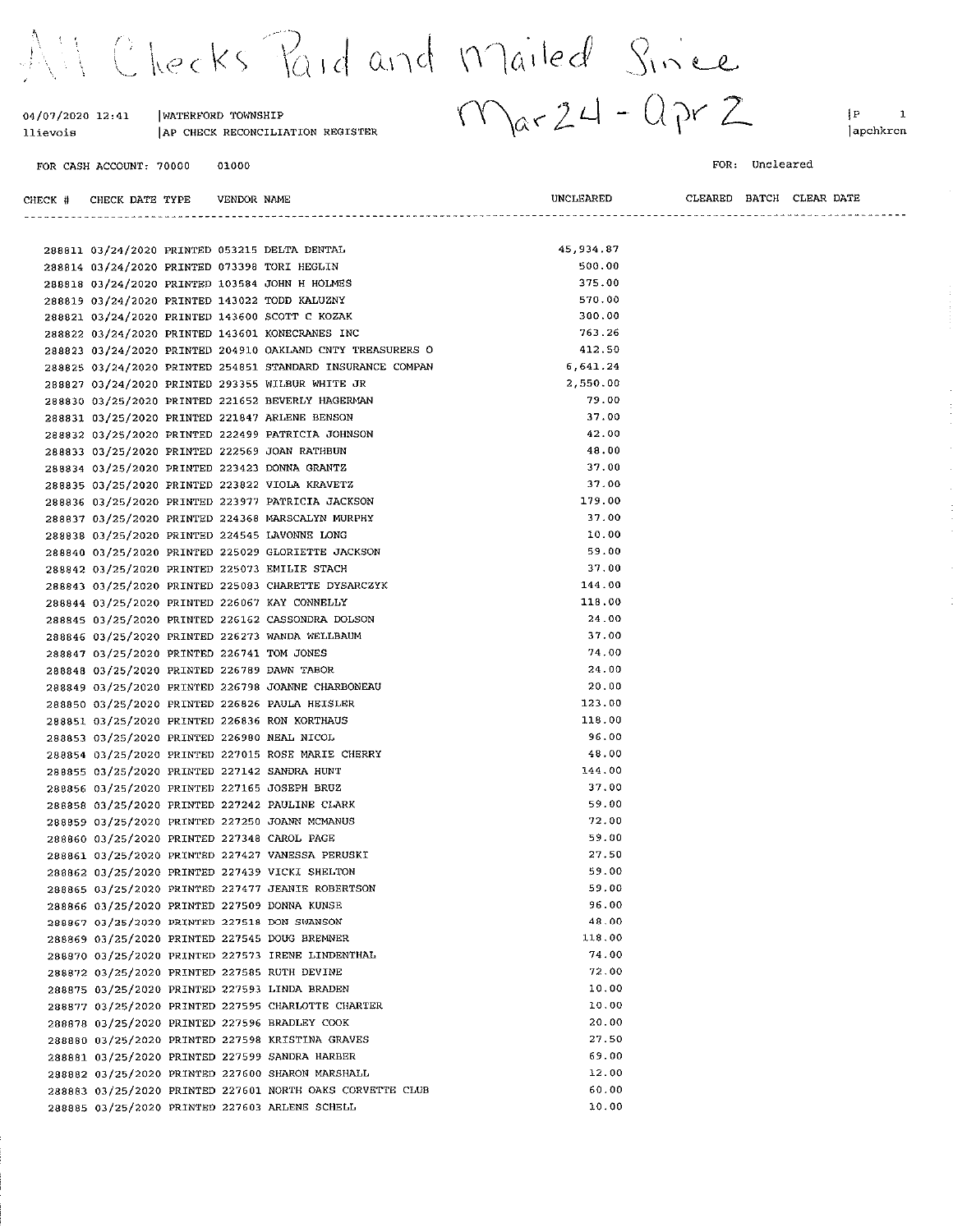All Checks Paid and Mailed Since

| 04/07/2020 12:41<br>llievois | WATERFORD TOWNSHIP<br>AP CHECK RECONCILIATION REGISTER | $\alpha$ r 24<br>المسد | ∤P<br>lapchkrcr                |
|------------------------------|--------------------------------------------------------|------------------------|--------------------------------|
| FOR CASH ACCOUNT: 70000      | 01000                                                  |                        | Uncleared<br>FOR:              |
| CHECK DATE TYPE<br>CHECK #   | VENDOR NAME                                            | UNCLEARED              | BATCH<br>CLEAR DATE<br>CLEARED |
|                              | 288811 03/24/2020 PRINTED 053215 DELTA DENTAL          | 45.934.87              |                                |
|                              | 288814 03/24/2020 PRINTED 073398 TORI HEGLIN           | 500.00                 |                                |
|                              | 288818 03/24/2020 PRINTED 103584 JOHN H HOLMES         | 375.00                 |                                |
|                              | 288819 03/24/2020 PRINTED 143022 TODD KALUZNY          | 570.00                 |                                |

570.00 300.00 288821 03/24/2020 PRINTED 143600 SCOTT C KOZAK 763.26 288822 03/24/2020 PRINTED 143601 KONECRANES INC 288823 03/24/2020 PRINTED 204910 OAKLAND CNTY TREASURERS O 412.50 288825 03/24/2020 PRINTED 254851 STANDARD INSURANCE COMPAN  $6.641.24$ 2,550.00 288827 03/24/2020 PRINTED 293355 WILBUR WHITE JR 288830 03/25/2020 PRINTED 221652 BEVERLY HAGERMAN 79.00 288831 03/25/2020 PRINTED 221847 ARLENE BENSON  $37.00$  $42.00$ 288832 03/25/2020 PRINTED 222499 PATRICIA JOHNSON 288833 03/25/2020 PRINTED 222569 JOAN RATHBUN  $48.00$ 288834 03/25/2020 PRINTED 223423 DONNA GRANTZ  $37.00$ 288835 03/25/2020 PRINTED 223822 VIOLA KRAVETZ 37.00 179.00 288836 03/25/2020 PRINTED 223977 PATRICIA JACKSON 288837 03/25/2020 PRINTED 224368 MARSCALYN MURPHY 37.00 288838 03/25/2020 PRINTED 224545 LAVONNE LONG 10.00 288840 03/25/2020 PRINTED 225029 GLORIETTE JACKSON 59.00 37.00 288842 03/25/2020 PRINTED 225073 EMILIE STACH 288843 03/25/2020 PRINTED 225083 CHARETTE DYSARCZYK 144.00 118.00 288844 03/25/2020 PRINTED 226067 KAY CONNELLY 288845 03/25/2020 PRINTED 226162 CASSONDRA DOLSON 24 00 288846 03/25/2020 PRINTED 226273 WANDA WELLBAUM 37.00 74.00 288847 03/25/2020 PRINTED 226741 TOM JONES 288848 03/25/2020 PRINTED 226789 DAWN TABOR 24.00 288849 03/25/2020 PRINTED 226798 JOANNE CHARBONEAU 20.00 288850 03/25/2020 PRINTED 226826 PAULA HEISLER 123.00 118.00 288851 03/25/2020 PRINTED 226836 RON KORTHAUS 288853 03/25/2020 PRINTED 226980 NEAL NICOL 96.00 288854 03/25/2020 PRINTED 227015 ROSE MARIE CHERRY 48.00 144.00 288855 03/25/2020 PRINTED 227142 SANDRA HUNT 37.00 288856 03/25/2020 PRINTED 227165 JOSEPH BRUZ 288858 03/25/2020 PRINTED 227242 PAULINE CLARK 59.00 288859 03/25/2020 PRINTED 227250 JOANN MCMANUS 72.00 59.00 288860 03/25/2020 PRINTED 227348 CAROL PAGE 27.50 288861 03/25/2020 PRINTED 227427 VANESSA PERUSKI 288862 03/25/2020 PRINTED 227439 VICKI SHELTON 59.00 288865 03/25/2020 PRINTED 227477 JEANIE ROBERTSON 59.00 288866 03/25/2020 PRINTED 227509 DONNA KUNSE 96.00 288867 03/25/2020 PRINTED 227518 DON SWANSON 48.00 288869 03/25/2020 PRINTED 227545 DOUG BREMNER 118.00 288870 03/25/2020 PRINTED 227573 IRENE LINDENTHAL 74.00 288872 03/25/2020 PRINTED 227585 RUTH DEVINE  $72.00$ 288875 03/25/2020 PRINTED 227593 LINDA BRADEN 10.00 10.00 288877 03/25/2020 PRINTED 227595 CHARLOTTE CHARTER 20.00 288878 03/25/2020 PRINTED 227596 BRADLEY COOK 288880 03/25/2020 PRINTED 227598 KRISTINA GRAVES 27.50 288881 03/25/2020 PRINTED 227599 SANDRA HARBER 69.00 288882 03/25/2020 PRINTED 227600 SHARON MARSHALL 12.00 288883 03/25/2020 PRINTED 227601 NORTH OAKS CORVETTE CLUB 60.00  $10.00$ 

288885 03/25/2020 PRINTED 227603 ARLENE SCHELL

 $ar24 - Qpr2$ 

 $|P|$  $\overline{1}$ lapchkrcn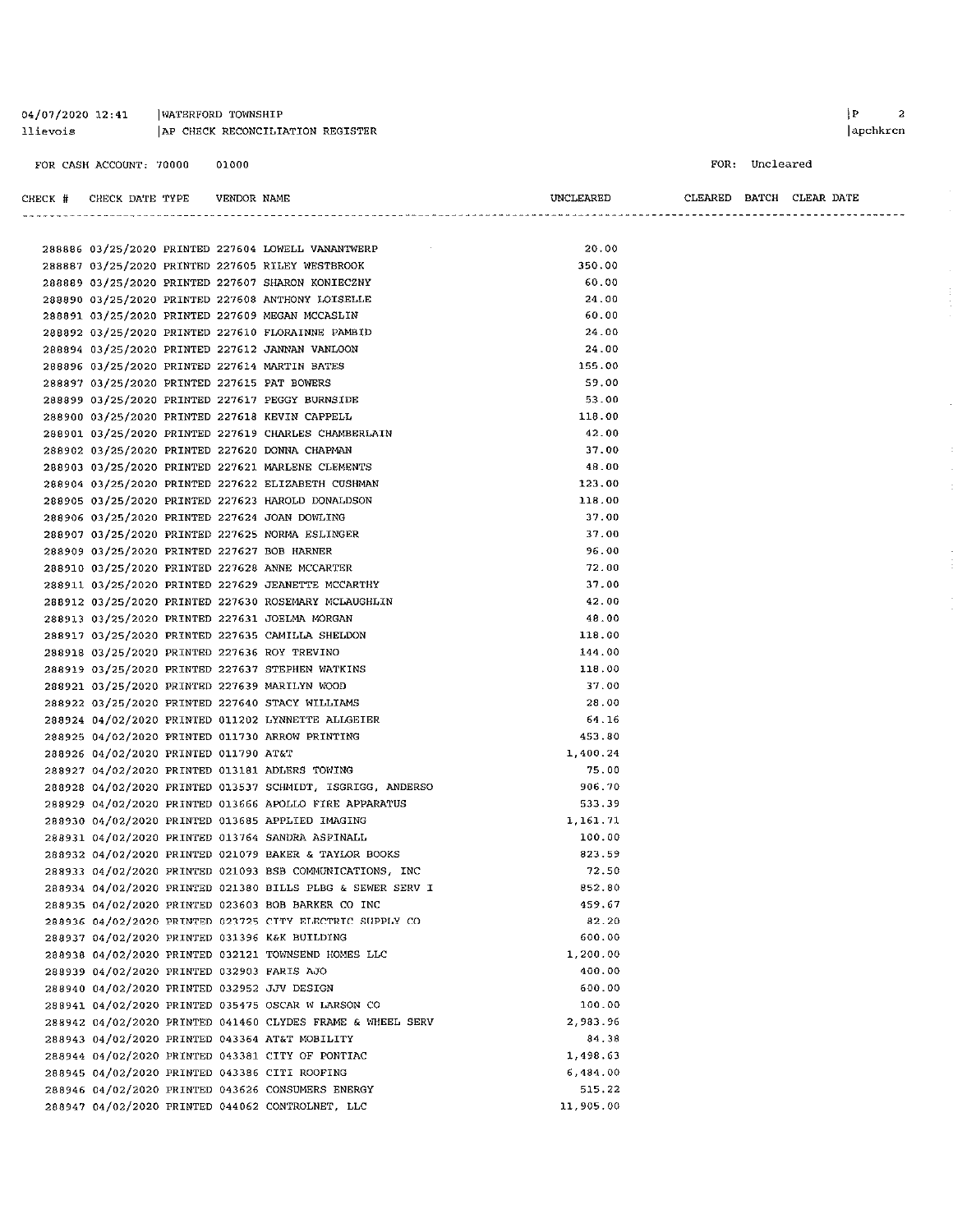|         | FOR CASH ACCOUNT: 70000                        | 01000 |                                                            |           | FOR: Uncleared |                          |
|---------|------------------------------------------------|-------|------------------------------------------------------------|-----------|----------------|--------------------------|
| CHECK # | CHECK DATE TYPE                                |       | VENDOR NAME                                                | UNCLEARED |                | CLEARED BATCH CLEAR DATE |
|         |                                                |       |                                                            |           |                |                          |
|         |                                                |       | 288886 03/25/2020 PRINTED 227604 LOWELL VANANTWERP         | 20.00     |                |                          |
|         |                                                |       | 288887 03/25/2020 PRINTED 227605 RILEY WESTBROOK           | 350.00    |                |                          |
|         |                                                |       | 288889 03/25/2020 PRINTED 227607 SHARON KONIECZNY          | 60.00     |                |                          |
|         |                                                |       | 288890 03/25/2020 PRINTED 227608 ANTHONY LOISELLE          | 24.00     |                |                          |
|         |                                                |       | 288891 03/25/2020 PRINTED 227609 MEGAN MCCASLIN            | 60.00     |                |                          |
|         |                                                |       | 288892 03/25/2020 PRINTED 227610 FLORAINNE PAMBID          | 24.00     |                |                          |
|         |                                                |       | 288894 03/25/2020 PRINTED 227612 JANNAN VANLOON            | 24.00     |                |                          |
|         | 288896 03/25/2020 PRINTED 227614 MARTIN BATES  |       |                                                            | 155.00    |                |                          |
|         | 288897 03/25/2020 PRINTED 227615 PAT BOWERS    |       |                                                            | 59.00     |                |                          |
|         |                                                |       | 288899 03/25/2020 PRINTED 227617 PEGGY BURNSIDE            | 53.00     |                |                          |
|         | 288900 03/25/2020 PRINTED 227618 KEVIN CAPPELL |       |                                                            | 118.00    |                |                          |
|         |                                                |       | 288901 03/25/2020 PRINTED 227619 CHARLES CHAMBERLAIN       | 42.00     |                |                          |
|         | 288902 03/25/2020 PRINTED 227620 DONNA CHAPMAN |       |                                                            | 37.00     |                |                          |
|         |                                                |       | 288903 03/25/2020 PRINTED 227621 MARLENE CLEMENTS          | 48.00     |                |                          |
|         |                                                |       | 288904 03/25/2020 PRINTED 227622 ELIZABETH CUSHMAN         | 123.00    |                |                          |
|         |                                                |       | 288905 03/25/2020 PRINTED 227623 HAROLD DONALDSON          | 118.00    |                |                          |
|         | 288906 03/25/2020 PRINTED 227624 JOAN DOWLING  |       |                                                            | 37.00     |                |                          |
|         |                                                |       | 288907 03/25/2020 PRINTED 227625 NORMA ESLINGER            | 37.00     |                |                          |
|         | 288909 03/25/2020 PRINTED 227627 BOB HARNER    |       |                                                            | 96 00     |                |                          |
|         |                                                |       | 288910 03/25/2020 PRINTED 227628 ANNE MCCARTER             | 72.00     |                |                          |
|         |                                                |       | 288911 03/25/2020 PRINTED 227629 JEANETTE MCCARTHY         | 37.00     |                |                          |
|         |                                                |       | 288912 03/25/2020 PRINTED 227630 ROSEMARY MCLAUGHLIN       | 42.00     |                |                          |
|         | 288913 03/25/2020 PRINTED 227631 JOELMA MORGAN |       |                                                            | 48.00     |                |                          |
|         |                                                |       | 288917 03/25/2020 PRINTED 227635 CAMILLA SHELDON           | 118.00    |                |                          |
|         | 288918 03/25/2020 PRINTED 227636 ROY TREVINO   |       |                                                            | 144.00    |                |                          |
|         |                                                |       | 288919 03/25/2020 PRINTED 227637 STEPHEN WATKINS           | 118.00    |                |                          |
|         | 288921 03/25/2020 PRINTED 227639 MARILYN WOOD  |       |                                                            | 37.00     |                |                          |
|         |                                                |       | 288922 03/25/2020 PRINTED 227640 STACY WILLIAMS            | 28.00     |                |                          |
|         |                                                |       | 288924 04/02/2020 PRINTED 011202 LYNNETTE ALLGEIER         | 64.16     |                |                          |
|         |                                                |       | 288925 04/02/2020 PRINTED 011730 ARROW PRINTING            | 453.80    |                |                          |
|         | 288926 04/02/2020 PRINTED 011790 AT&T          |       |                                                            | 1,400.24  |                |                          |
|         |                                                |       | 288927 04/02/2020 PRINTED 013181 ADLERS TOWING             | 75.00     |                |                          |
|         |                                                |       | 288928 04/02/2020 PRINTED 013537 SCHMIDT, ISGRIGG, ANDERSO | 906.70    |                |                          |
|         |                                                |       | 288929 04/02/2020 PRINTED 013666 APOLLO FIRE APPARATUS     | 533.39    |                |                          |
|         |                                                |       | 288930 04/02/2020 PRINTED 013685 APPLIED IMAGING           | 1,161.71  |                |                          |
|         |                                                |       | 288931 04/02/2020 PRINTED 013764 SANDRA ASPINALL           | 100.00    |                |                          |
|         |                                                |       | 288932 04/02/2020 PRINTED 021079 BAKER & TAYLOR BOOKS      | 823.59    |                |                          |
|         |                                                |       | 288933 04/02/2020 PRINTED 021093 BSB COMMUNICATIONS, INC   | 72.50     |                |                          |
|         |                                                |       | 288934 04/02/2020 PRINTED 021380 BILLS PLBG & SEWER SERV I | 852.80    |                |                          |
|         |                                                |       | 288935 04/02/2020 PRINTED 023603 BOB BARKER CO INC         | 459.67    |                |                          |
|         |                                                |       | 288936 04/02/2020 PRINTED 023725 CITY ELECTRIC SUPPLY CO   | 82.20     |                |                          |
|         | 288937 04/02/2020 PRINTED 031396 K&K BUILDING  |       |                                                            | 600.00    |                |                          |
|         |                                                |       | 288938 04/02/2020 PRINTED 032121 TOWNSEND HOMES LLC        | 1,200.00  |                |                          |
|         | 288939 04/02/2020 PRINTED 032903 FARIS AJO     |       |                                                            | 400.00    |                |                          |
|         | 288940 04/02/2020 PRINTED 032952 JJV DESIGN    |       |                                                            | 600.00    |                |                          |
|         |                                                |       | 288941 04/02/2020 PRINTED 035475 OSCAR W LARSON CO         | 100.00    |                |                          |
|         |                                                |       | 288942 04/02/2020 PRINTED 041460 CLYDES FRAME & WHEEL SERV | 2,983.96  |                |                          |
|         |                                                |       | 288943 04/02/2020 PRINTED 043364 AT&T MOBILITY             | 84.38     |                |                          |
|         |                                                |       | 288944 04/02/2020 PRINTED 043381 CITY OF PONTIAC           | 1,498.63  |                |                          |
|         | 288945 04/02/2020 PRINTED 043386 CITI ROOFING  |       |                                                            | 6,484.00  |                |                          |
|         |                                                |       | 288946 04/02/2020 PRINTED 043626 CONSUMERS ENERGY          | 515.22    |                |                          |
|         |                                                |       | 288947 04/02/2020 PRINTED 044062 CONTROLNET, LLC           | 11,905.00 |                |                          |

 $\begin{array}{ccc} \mid & \mathbf{P} & \mathbf{Z} \end{array}$ 

apchkrcn

04/07/2020 12:41 | WATERFORD TOWNSHIP

llievois

AP CHECK RECONCILIATION REGISTER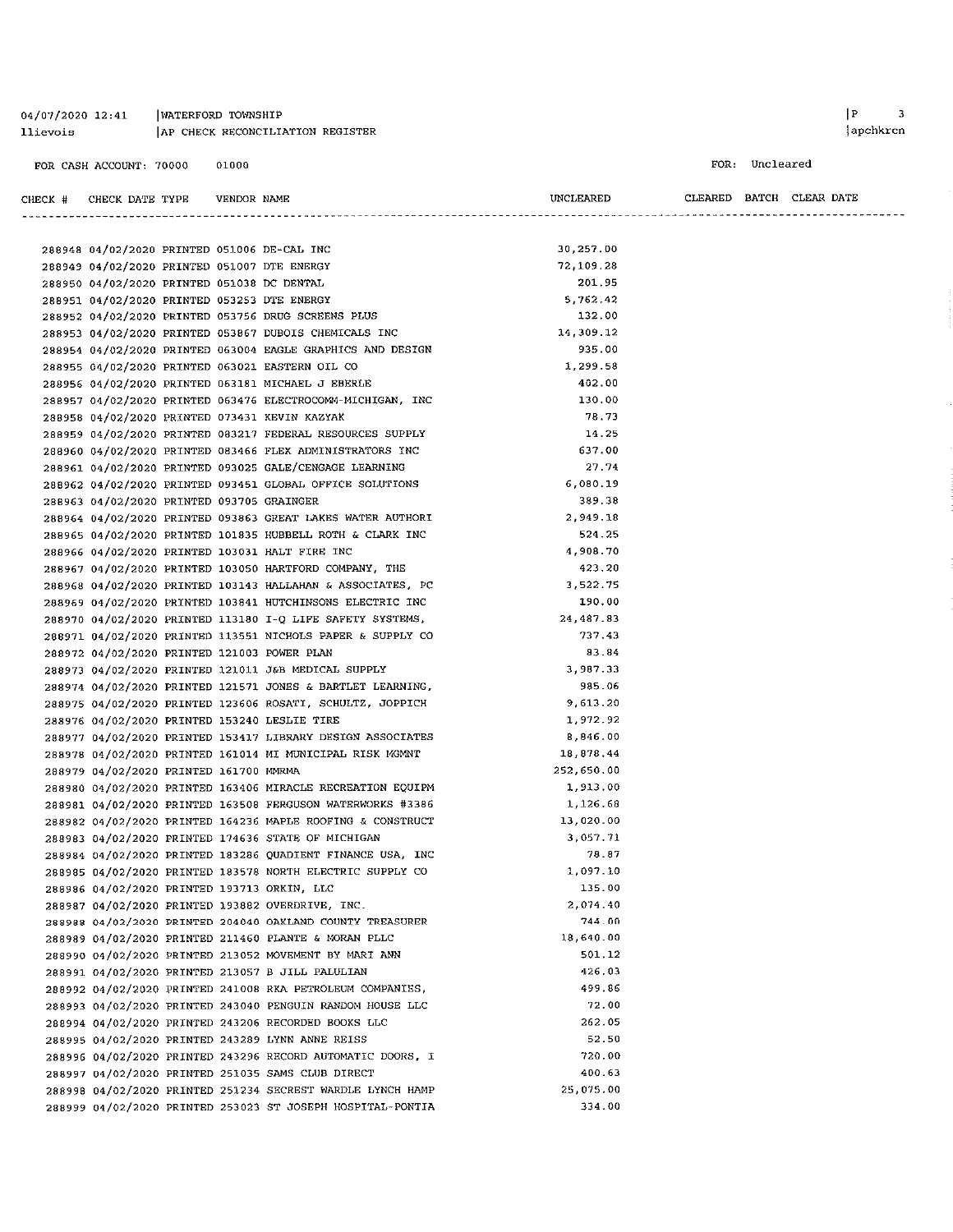#### 04/07/2020 12:41 WATERFORD TOWNSHIP AP CHECK RECONCILIATION REGISTER llievois

288948 04/02/2020 PRINTED 051006 DE-CAL INC

**VENDOR NAME** 

288999 04/02/2020 PRINTED 253023 ST JOSEPH HOSPITAL-PONTIA

#### FOR CASH ACCOUNT: 70000 01000

CHECK # CHECK DATE TYPE

```
FOR: Uncleared
```
CLEARED BATCH CLEAR DATE

UNCLEARED

30,257.00

334.00

 $|P|$ 

| 288949 04/02/2020 PRINTED 051007 DTE ENERGY |  |                                                            | 72.109.28  |  |
|---------------------------------------------|--|------------------------------------------------------------|------------|--|
| 288950 04/02/2020 PRINTED 051038 DC DENTAL  |  |                                                            | 201.95     |  |
| 288951 04/02/2020 PRINTED 053253 DTE ENERGY |  |                                                            | 5,762.42   |  |
|                                             |  | 288952 04/02/2020 PRINTED 053756 DRUG SCREENS PLUS         | 132.00     |  |
|                                             |  | 288953 04/02/2020 PRINTED 053867 DUBOIS CHEMICALS INC      | 14, 309.12 |  |
|                                             |  | 288954 04/02/2020 PRINTED 063004 EAGLE GRAPHICS AND DESIGN | 935.00     |  |
|                                             |  | 288955 04/02/2020 PRINTED 063021 EASTERN OIL CO            | 1,299.58   |  |
|                                             |  | 288956 04/02/2020 PRINTED 063181 MICHAEL J EBERLE          | 402.00     |  |
|                                             |  | 288957 04/02/2020 PRINTED 063476 ELECTROCOMM-MICHIGAN, INC | 130.00     |  |
|                                             |  | 288958 04/02/2020 PRINTED 073431 KEVIN KAZYAK              | 78.73      |  |
|                                             |  | 288959 04/02/2020 PRINTED 083217 FEDERAL RESOURCES SUPPLY  | 14.25      |  |
|                                             |  | 288960 04/02/2020 PRINTED 083466 FLEX ADMINISTRATORS INC   | 637.00     |  |
|                                             |  | 288961 04/02/2020 PRINTED 093025 GALE/CENGAGE LEARNING     | 27.74      |  |
|                                             |  | 288962 04/02/2020 PRINTED 093451 GLOBAL OFFICE SOLUTIONS   | 6,080.19   |  |
| 288963 04/02/2020 PRINTED 093705 GRAINGER   |  |                                                            | 389.38     |  |
|                                             |  | 288964 04/02/2020 PRINTED 093863 GREAT LAKES WATER AUTHORI | 2.949.18   |  |
|                                             |  | 288965 04/02/2020 PRINTED 101835 HUBBELL ROTH & CLARK INC  | 524.25     |  |
|                                             |  | 288966 04/02/2020 PRINTED 103031 HALT FIRE INC             | 4,908.70   |  |
|                                             |  | 288967 04/02/2020 PRINTED 103050 HARTFORD COMPANY, THE     | 423.20     |  |
|                                             |  | 288968 04/02/2020 PRINTED 103143 HALLAHAN & ASSOCIATES, PC | 3,522.75   |  |
|                                             |  | 288969 04/02/2020 PRINTED 103841 HUTCHINSONS ELECTRIC INC  | 190.00     |  |
|                                             |  | 288970 04/02/2020 PRINTED 113180 I-Q LIFE SAFETY SYSTEMS,  | 24.487.83  |  |
|                                             |  | 288971 04/02/2020 PRINTED 113551 NICHOLS PAPER & SUPPLY CO | 737.43     |  |
| 288972 04/02/2020 PRINTED 121003 POWER PLAN |  |                                                            | 83.84      |  |
|                                             |  | 288973 04/02/2020 PRINTED 121011 J&B MEDICAL SUPPLY        | 3,987.33   |  |
|                                             |  | 288974 04/02/2020 PRINTED 121571 JONES & BARTLET LEARNING, | 985.06     |  |
|                                             |  | 288975 04/02/2020 PRINTED 123606 ROSATI, SCHULTZ, JOPPICH  | 9,613.20   |  |
|                                             |  | 288976 04/02/2020 PRINTED 153240 LESLIE TIRE               | 1,972.92   |  |
|                                             |  | 288977 04/02/2020 PRINTED 153417 LIBRARY DESIGN ASSOCIATES | 8,846.00   |  |
|                                             |  | 288978 04/02/2020 PRINTED 161014 MI MUNICIPAL RISK MGMNT   | 18,878.44  |  |
| 288979 04/02/2020 PRINTED 161700 MMRMA      |  |                                                            | 252,650.00 |  |
|                                             |  | 288980 04/02/2020 PRINTED 163406 MIRACLE RECREATION EQUIPM | 1,913.00   |  |
|                                             |  | 288981 04/02/2020 PRINTED 163508 FERGUSON WATERWORKS #3386 | 1,126.68   |  |
|                                             |  | 288982 04/02/2020 PRINTED 164236 MAPLE ROOFING & CONSTRUCT | 13,020.00  |  |
|                                             |  | 288983 04/02/2020 PRINTED 174636 STATE OF MICHIGAN         | 3,057.71   |  |
|                                             |  | 288984 04/02/2020 PRINTED 183286 QUADIENT FINANCE USA, INC | 78.87      |  |
|                                             |  | 288985 04/02/2020 PRINTED 183578 NORTH ELECTRIC SUPPLY CO  | 1,097.10   |  |
| 288986 04/02/2020 PRINTED 193713 ORKIN, LLC |  |                                                            | 135.00     |  |
|                                             |  | 288987 04/02/2020 PRINTED 193882 OVERDRIVE, INC.           | 2,074.40   |  |
|                                             |  | 288988 04/02/2020 PRINTED 204040 OAKLAND COUNTY TREASURER  | 744.00     |  |
|                                             |  | 288989 04/02/2020 PRINTED 211460 PLANTE & MORAN PLLC       | 18,640.00  |  |
|                                             |  | 288990 04/02/2020 PRINTED 213052 MOVEMENT BY MARI ANN      | 501.12     |  |
|                                             |  | 288991 04/02/2020 PRINTED 213057 B JILL PALULIAN           | 426.03     |  |
|                                             |  | 288992 04/02/2020 PRINTED 241008 RKA PETROLEUM COMPANIES,  | 499.86     |  |
|                                             |  | 288993 04/02/2020 PRINTED 243040 PENGUIN RANDOM HOUSE LLC  | 72.00      |  |
|                                             |  | 288994 04/02/2020 PRINTED 243206 RECORDED BOOKS LLC        | 262.05     |  |
|                                             |  | 288995 04/02/2020 PRINTED 243289 LYNN ANNE REISS           | 52.50      |  |
|                                             |  | 288996 04/02/2020 PRINTED 243296 RECORD AUTOMATIC DOORS, I | 720.00     |  |
|                                             |  | 288997 04/02/2020 PRINTED 251035 SAMS CLUB DIRECT          | 400.63     |  |
|                                             |  |                                                            | 25,075.00  |  |
|                                             |  | 288998 04/02/2020 PRINTED 251234 SECREST WARDLE LYNCH HAMP |            |  |

 $\overline{\phantom{a}}$  $|apchkrcn$